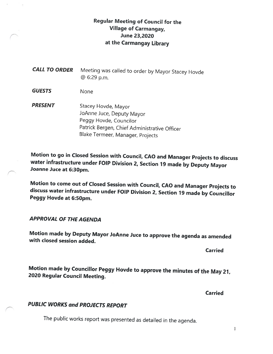## Regular Meeting of Council for the Village of Carmangay, June 23,2020 at the Carmangay Library

CALL TO ORDER Meeting was called to order by Mayor Stacey Hovde @ 6:29 p.m.

GUESTS None

PRESENT Stacey Hovde, Mayor JoAnne Juce, Deputy Mayor Peggy Hovde, Councilor Patrick Bergen, Chief Administrative Officer Blake Termeer, Manager, Projects

Motion to go in Closed Session with Council, CAO and Manager Projects to discuss water infrastructure under FOIP Division 2, Section <sup>79</sup> made by Deputy Mayor Joanne Juce at 6:30pm.

Motion to come out of Closed Session with Council, CAO and Manager Projects to discuss water infrastructure under FOIP Division 2, Section <sup>19</sup> made by Councillor Peggy Hovde at 6:50pm.

APPROVAL OF THE AGENDA

Motion made by Deputy Mayor JoAnne Juce to approve the agenda as amended with closed session added.

Carried

Motion made by Councillor Peggy Hovde to approve the minutes of the May 21, <sup>2020</sup> Regular Council Meeting.

Carried

## PUBLIC WORKS and PROJECTS REPORT

The public works report was presented as detailed in the agenda.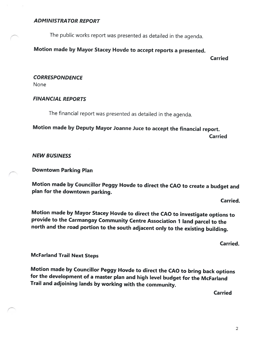#### ADMIN1STRA TOR REPORT

The public works report was presented as detailed in the agenda.

## Motion made by Mayor Stacey Hovde to accept reports <sup>a</sup> presented.

Carried

#### **CORRESPONDENCE**

None

#### FINANCIAL REPORTS

The financial report was presented as detailed in the agenda.

Motion made by Deputy Mayor Joanne Juce to accept the financial report. Carried

#### NEW BUSINESS

Downtown Parking Plan

Motion made by Councillor Peggy Hovde to direct the CAO to create <sup>a</sup> budget and <sup>p</sup>lan for the downtown parking.

Carried.

Motion made by Mayor Stacey Hovde to direct the CAO to investigate options to provide to the Carmangay Community Centre Association <sup>7</sup> land parcel to the north and the road portion to the south adjacent only to the existing building.

Carried.

McFarland Trail Next Steps

Motion made by Councillor Peggy Hovde to direct the CAO to bring back options for the development of <sup>a</sup> master <sup>p</sup>lan and high level budget for the Mcfarland Trail and adjoining lands by working with the community.

**Carried**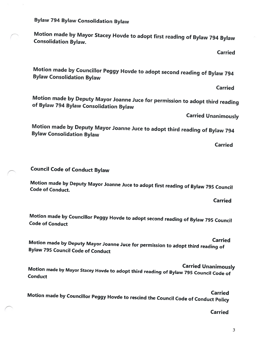Bylaw <sup>794</sup> Bylaw Consolidation Bylaw

Motion made by Mayor Stacey Hovde to adopt first reading of Bylaw <sup>794</sup> Bylaw Consolidation Bylaw.

**Carried** 

Motion made by Councillor Peggy Hovde to adopt second reading of Bylaw <sup>794</sup> Bylaw Consolidation Bylaw

Carried

Motion made by Deputy Mayor Joanne Juce for permission to adopt third reading of Bylaw <sup>794</sup> Bylaw Consolidation Bylaw

Carried Unanimously

Motion made by Deputy Mayor Joanne Juce to adopt third reading of Bylaw <sup>794</sup> Bylaw Consolidation Bylaw

Carried

Council Code of Conduct Bylaw

Motion made by Deputy Mayor Joanne Juce to adopt first reading of Bylaw <sup>795</sup> Council Code of Conduct.

Carried

Motion made by Councillor Peggy Hovde to adopt second reading of Bylaw <sup>795</sup> Council Code of Conduct

Carried

Motion made by Deputy Mayor Joanne Juce for permission to adopt third reading of Bylaw <sup>795</sup> Council Code of Conduct

Carried Unanimously Motion made by Mayor Stacey Hovde to adopt third reading of Bylaw <sup>795</sup> Council Code of **Conduct** 

Motion made by Councillor Peggy Hovde to rescind the Council Code of Conduct Policy Carried

Carried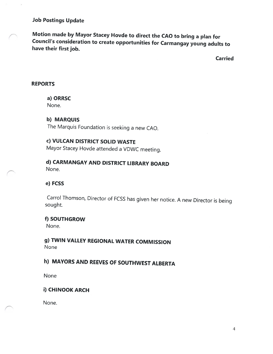#### Job Postings Update

Motion made by Mayor Stacey Hovde to direct the CAO to bring <sup>a</sup> <sup>p</sup>lan for Council's consideration to create opportunities for Carmangay young adults to have their first job.

Carried

#### REPORTS

a) ORRSC

None.

#### b) MARQUIS

The Marquis Foundation is seeking <sup>a</sup> new CAO.

## c) VULCAN DISTRICT SOLID WASTE

Mayor Stacey Hovde attended <sup>a</sup> VDWC meeting.

#### d) CARMANGAY AND DISTRICT LIBRARY BOARD None.

#### e) FCSS

Carrol Thomson, Director of FCSS has <sup>g</sup>iven her notice. <sup>A</sup> new Director is being sought.

#### f) SOUTHGROW

None.

g) TWIN VALLEY REGIONAL WATER COMMISSION None

# h) MAYORS AND REEVES OF SOUTHWEST ALBERTA

None

### i) CHINOOK ARCH

None.